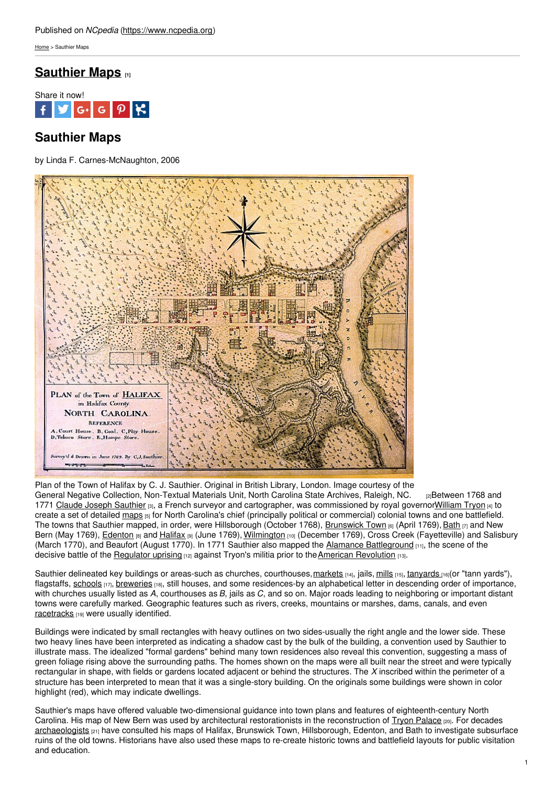[Home](https://www.ncpedia.org/) > Sauthier Maps

## **[Sauthier](https://www.ncpedia.org/sauthier-maps) Maps [1]**



# **Sauthier Maps**

by Linda F. Carnes-McNaughton, 2006



Plan of the Town of Halifax by C. J. Sauthier. Original in British Library, London. Image courtesy of the General Negative Collection, [Non-Textual](https://www.flickr.com/photos/north-carolina-state-archives/3059157070) Materials Unit, North Carolina State Archives, Raleigh, NC. <sub>[2]</sub>Between 1768 and 1771 Claude Joseph [Sauthier](https://www.ncpedia.org/biography/sauthier-claude-joseph) [3], a French surveyor and cartographer, was commissioned by royal governor William Tryon [4] to create a set of detailed [maps](https://www.ncpedia.org/maps) [5] for North Carolina's chief (principally political or commercial) colonial towns and one battlefield. The towns that Sauthier mapped, in order, were Hillsborough (October 1768), [Brunswick](https://www.ncpedia.org/brunswick-town) Town [6] (April 1769), [Bath](https://www.ncpedia.org/geography/bath) [7] and New Bern (May 1769), *[Edenton](https://www.ncpedia.org/edenton) [8] and [Halifax](https://www.ncpedia.org/halifax) [9]* (June 1769), [Wilmington](https://www.ncpedia.org/geography/wilmington) [10] (December 1769), Cross Creek (Fayetteville) and Salisbury (March 1770), and Beaufort (August 1770). In 1771 Sauthier also mapped the Alamance [Battleground](https://www.ncpedia.org/alamance-battleground) [11], the scene of the decisive battle of the [Regulator](https://www.ncpedia.org/history/colonial/regulator-movement) uprising [12] against Tryon's militia prior to the American [Revolution](https://www.ncpedia.org/american-revolution) [13].

Sauthier delineated key buildings or areas-such as churches, courthouses, markets [14], jails, [mills](https://www.ncpedia.org/gristmills) [15], [tanyards](https://www.ncpedia.org/fur-and-skin-trade) [16](or "tann yards"), flagstaffs, [schools](https://www.ncpedia.org/education-private) [17], [breweries](https://www.ncpedia.org/beer-and-breweries) [18], still houses, and some residences-by an alphabetical letter in descending order of importance, with churches usually listed as *A*, courthouses as *B*, jails as *C*, and so on. Major roads leading to neighboring or important distant towns were carefully marked. Geographic features such as rivers, creeks, mountains or marshes, dams, canals, and even [racetracks](https://www.ncpedia.org/horse-racing) <a>[19]</a> were usually identified.

Buildings were indicated by small rectangles with heavy outlines on two sides-usually the right angle and the lower side. These two heavy lines have been interpreted as indicating a shadow cast by the bulk of the building, a convention used by Sauthier to illustrate mass. The idealized "formal gardens" behind many town residences also reveal this convention, suggesting a mass of green foliage rising above the surrounding paths. The homes shown on the maps were all built near the street and were typically rectangular in shape, with fields or gardens located adjacent or behind the structures. The *X* inscribed within the perimeter of a structure has been interpreted to mean that it was a single-story building. On the originals some buildings were shown in color highlight (red), which may indicate dwellings.

Sauthier's maps have offered valuable two-dimensional guidance into town plans and features of eighteenth-century North Carolina. His map of New Bern was used by architectural restorationists in the reconstruction of Tryon [Palace](https://www.ncpedia.org/tryon-palace) [20]. For decades [archaeologists](https://www.ncpedia.org/archaeology) [21] have consulted his maps of Halifax, Brunswick Town, Hillsborough, Edenton, and Bath to investigate subsurface ruins of the old towns. Historians have also used these maps to re-create historic towns and battlefield layouts for public visitation and education.